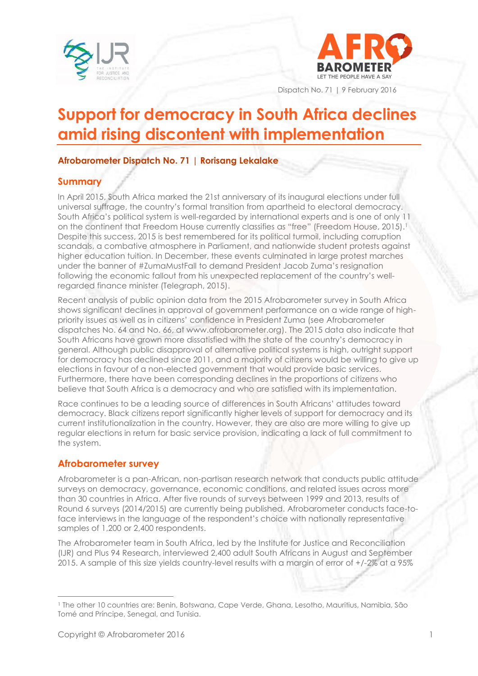



Dispatch No. 71 | 9 February 2016

# **Support for democracy in South Africa declines amid rising discontent with implementation**

### **Afrobarometer Dispatch No. 71 | Rorisang Lekalake**

#### **Summary**

In April 2015, South Africa marked the 21st anniversary of its inaugural elections under full universal suffrage, the country's formal transition from apartheid to electoral democracy. South Africa's political system is well-regarded by international experts and is one of only 11 on the continent that Freedom House currently classifies as "free" (Freedom House, 2015).<sup>1</sup> Despite this success, 2015 is best remembered for its political turmoil, including corruption scandals, a combative atmosphere in Parliament, and nationwide student protests against higher education tuition. In December, these events culminated in large protest marches under the banner of #ZumaMustFall to demand President Jacob Zuma's resignation following the economic fallout from his unexpected replacement of the country's wellregarded finance minister (Telegraph, 2015).

Recent analysis of public opinion data from the 2015 Afrobarometer survey in South Africa shows significant declines in approval of government performance on a wide range of highpriority issues as well as in citizens' confidence in President Zuma (see Afrobarometer dispatches No. 64 and No. 66, at [www.afrobarometer.org\)](http://www.afrobarometer.org/). The 2015 data also indicate that South Africans have grown more dissatisfied with the state of the country's democracy in general. Although public disapproval of alternative political systems is high, outright support for democracy has declined since 2011, and a majority of citizens would be willing to give up elections in favour of a non-elected government that would provide basic services. Furthermore, there have been corresponding declines in the proportions of citizens who believe that South Africa is a democracy and who are satisfied with its implementation.

Race continues to be a leading source of differences in South Africans' attitudes toward democracy. Black citizens report significantly higher levels of support for democracy and its current institutionalization in the country. However, they are also are more willing to give up regular elections in return for basic service provision, indicating a lack of full commitment to the system.

# **Afrobarometer survey**

Afrobarometer is a pan-African, non-partisan research network that conducts public attitude surveys on democracy, governance, economic conditions, and related issues across more than 30 countries in Africa. After five rounds of surveys between 1999 and 2013, results of Round 6 surveys (2014/2015) are currently being published. Afrobarometer conducts face-toface interviews in the language of the respondent's choice with nationally representative samples of 1,200 or 2,400 respondents.

The Afrobarometer team in South Africa, led by the Institute for Justice and Reconciliation (IJR) and Plus 94 Research, interviewed 2,400 adult South Africans in August and September 2015. A sample of this size yields country-level results with a margin of error of +/-2% at a 95%

<sup>1</sup> The other 10 countries are: Benin, Botswana, Cape Verde, Ghana, Lesotho, Mauritius, Namibia, São Tomé and Príncipe, Senegal, and Tunisia.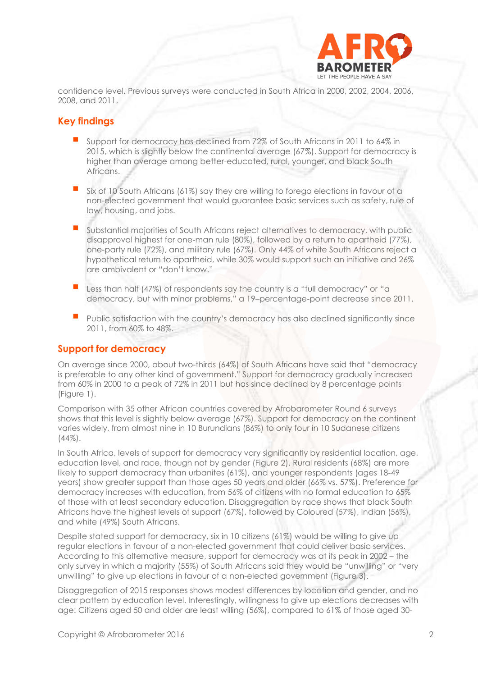

confidence level. Previous surveys were conducted in South Africa in 2000, 2002, 2004, 2006, 2008, and 2011.

### **Key findings**

- Support for democracy has declined from 72% of South Africans in 2011 to 64% in 2015, which is slightly below the continental average (67%). Support for democracy is higher than average among better-educated, rural, younger, and black South Africans.
- Six of 10 South Africans (61%) say they are willing to forego elections in favour of a non-elected government that would guarantee basic services such as safety, rule of law, housing, and jobs.
- Substantial majorities of South Africans reject alternatives to democracy, with public disapproval highest for one-man rule (80%), followed by a return to apartheid (77%), one-party rule (72%), and military rule (67%). Only 44% of white South Africans reject a hypothetical return to apartheid, while 30% would support such an initiative and 26% are ambivalent or "don't know."
- **Less than half (47%)** of respondents say the country is a "full democracy" or "a democracy, but with minor problems," a 19–percentage-point decrease since 2011.
- Public satisfaction with the country's democracy has also declined significantly since 2011, from 60% to 48%.

#### **Support for democracy**

On average since 2000, about two-thirds (64%) of South Africans have said that "democracy is preferable to any other kind of government." Support for democracy gradually increased from 60% in 2000 to a peak of 72% in 2011 but has since declined by 8 percentage points (Figure 1).

Comparison with 35 other African countries covered by Afrobarometer Round 6 surveys shows that this level is slightly below average (67%). Support for democracy on the continent varies widely, from almost nine in 10 Burundians (86%) to only four in 10 Sudanese citizens (44%).

In South Africa, levels of support for democracy vary significantly by residential location, age, education level, and race, though not by gender (Figure 2). Rural residents (68%) are more likely to support democracy than urbanites (61%), and younger respondents (ages 18-49 years) show greater support than those ages 50 years and older (66% vs. 57%). Preference for democracy increases with education, from 56% of citizens with no formal education to 65% of those with at least secondary education. Disaggregation by race shows that black South Africans have the highest levels of support (67%), followed by Coloured (57%), Indian (56%), and white (49%) South Africans.

Despite stated support for democracy, six in 10 citizens (61%) would be willing to give up regular elections in favour of a non-elected government that could deliver basic services. According to this alternative measure, support for democracy was at its peak in 2002 – the only survey in which a majority (55%) of South Africans said they would be "unwilling" or "very unwilling" to give up elections in favour of a non-elected government (Figure 3).

Disaggregation of 2015 responses shows modest differences by location and gender, and no clear pattern by education level. Interestingly, willingness to give up elections decreases with age: Citizens aged 50 and older are least willing (56%), compared to 61% of those aged 30-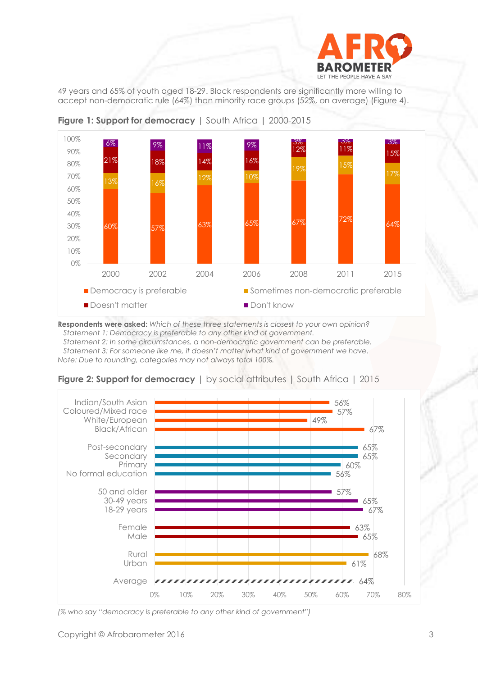

49 years and 65% of youth aged 18-29. Black respondents are significantly more willing to accept non-democratic rule (64%) than minority race groups (52%, on average) (Figure 4).



**Figure 1: Support for democracy** | South Africa | 2000-2015

**Respondents were asked:** *Which of these three statements is closest to your own opinion? Statement 1: Democracy is preferable to any other kind of government. Statement 2: In some circumstances, a non-democratic government can be preferable. Statement 3: For someone like me, it doesn't matter what kind of government we have. Note: Due to rounding, categories may not always total 100%.*



| <b>Figure 2: Support for democracy</b>   by social attributes   South Africa   2015 |  |  |
|-------------------------------------------------------------------------------------|--|--|
|-------------------------------------------------------------------------------------|--|--|

*(% who say "democracy is preferable to any other kind of government")*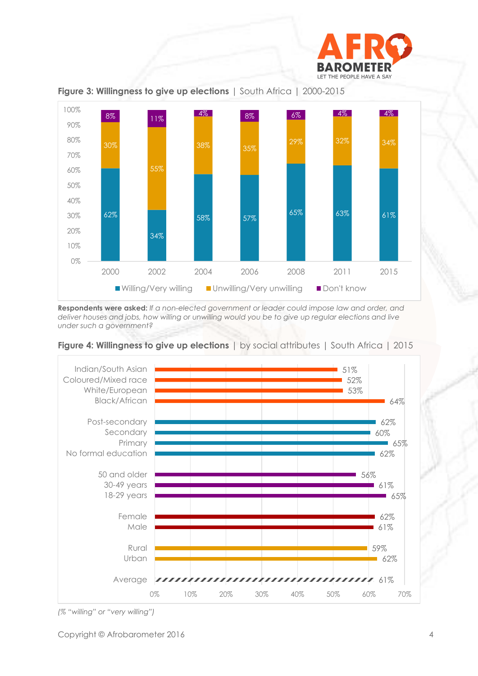



**Figure 3: Willingness to give up elections** | South Africa | 2000-2015

**Respondents were asked:** *If a non-elected government or leader could impose law and order, and deliver houses and jobs, how willing or unwilling would you be to give up regular elections and live under such a government?*





*(% "willing" or "very willing")*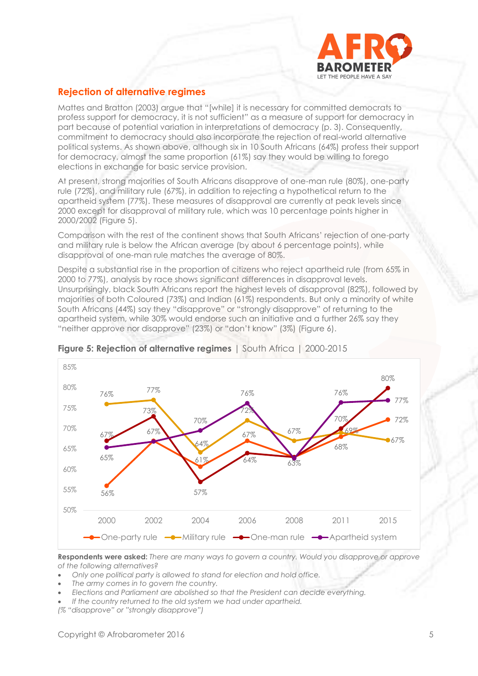

# **Rejection of alternative regimes**

Mattes and Bratton (2003) argue that "[while] it is necessary for committed democrats to profess support for democracy, it is not sufficient" as a measure of support for democracy in part because of potential variation in interpretations of democracy (p. 3). Consequently, commitment to democracy should also incorporate the rejection of real-world alternative political systems. As shown above, although six in 10 South Africans (64%) profess their support for democracy, almost the same proportion (61%) say they would be willing to forego elections in exchange for basic service provision.

At present, strong majorities of South Africans disapprove of one-man rule (80%), one-party rule (72%), and military rule (67%), in addition to rejecting a hypothetical return to the apartheid system (77%). These measures of disapproval are currently at peak levels since 2000 except for disapproval of military rule, which was 10 percentage points higher in 2000/2002 (Figure 5).

Comparison with the rest of the continent shows that South Africans' rejection of one-party and military rule is below the African average (by about 6 percentage points), while disapproval of one-man rule matches the average of 80%.

Despite a substantial rise in the proportion of citizens who reject apartheid rule (from 65% in 2000 to 77%), analysis by race shows significant differences in disapproval levels. Unsurprisingly, black South Africans report the highest levels of disapproval (82%), followed by majorities of both Coloured (73%) and Indian (61%) respondents. But only a minority of white South Africans (44%) say they "disapprove" or "strongly disapprove" of returning to the apartheid system, while 30% would endorse such an initiative and a further 26% say they "neither approve nor disapprove" (23%) or "don't know" (3%) (Figure 6).



#### **Figure 5: Rejection of alternative regimes** I South Africa 1 2000-2015

**Respondents were asked:** *There are many ways to govern a country. Would you disapprove or approve of the following alternatives?*

- *Only one political party is allowed to stand for election and hold office.*
- *The army comes in to govern the country.*
- *Elections and Parliament are abolished so that the President can decide everything.*
- *If the country returned to the old system we had under apartheid.*

*(% "disapprove" or "strongly disapprove")*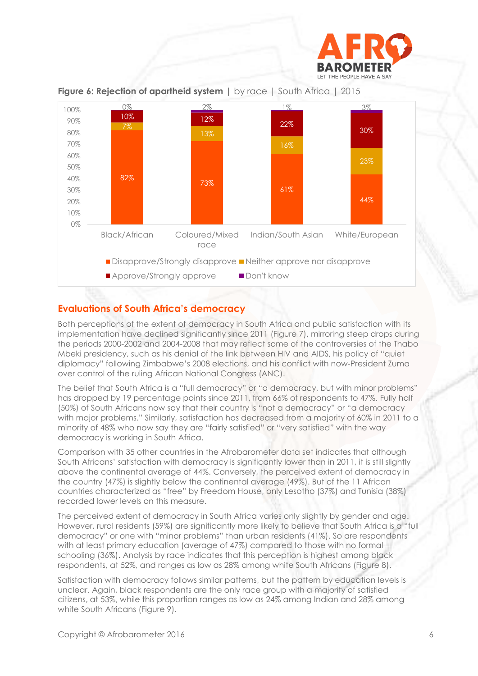



**Figure 6: Rejection of apartheid system** | by race | South Africa | 2015

# **Evaluations of South Africa's democracy**

Both perceptions of the extent of democracy in South Africa and public satisfaction with its implementation have declined significantly since 2011 (Figure 7), mirroring steep drops during the periods 2000-2002 and 2004-2008 that may reflect some of the controversies of the Thabo Mbeki presidency, such as his denial of the link between HIV and AIDS, his policy of "quiet diplomacy" following Zimbabwe's 2008 elections, and his conflict with now-President Zuma over control of the ruling African National Congress (ANC).

The belief that South Africa is a "full democracy" or "a democracy, but with minor problems" has dropped by 19 percentage points since 2011, from 66% of respondents to 47%. Fully half (50%) of South Africans now say that their country is "not a democracy" or "a democracy with major problems." Similarly, satisfaction has decreased from a majority of 60% in 2011 to a minority of 48% who now say they are "fairly satisfied" or "very satisfied" with the way democracy is working in South Africa.

Comparison with 35 other countries in the Afrobarometer data set indicates that although South Africans' satisfaction with democracy is significantly lower than in 2011, it is still slightly above the continental average of 44%. Conversely, the perceived extent of democracy in the country (47%) is slightly below the continental average (49%). But of the 11 African countries characterized as "free" by Freedom House, only Lesotho (37%) and Tunisia (38%) recorded lower levels on this measure.

The perceived extent of democracy in South Africa varies only slightly by gender and age. However, rural residents (59%) are significantly more likely to believe that South Africa is a "full democracy" or one with "minor problems" than urban residents (41%). So are respondents with at least primary education (average of 47%) compared to those with no formal schooling (36%). Analysis by race indicates that this perception is highest among black respondents, at 52%, and ranges as low as 28% among white South Africans (Figure 8).

Satisfaction with democracy follows similar patterns, but the pattern by education levels is unclear. Again, black respondents are the only race group with a majority of satisfied citizens, at 53%, while this proportion ranges as low as 24% among Indian and 28% among white South Africans (Figure 9).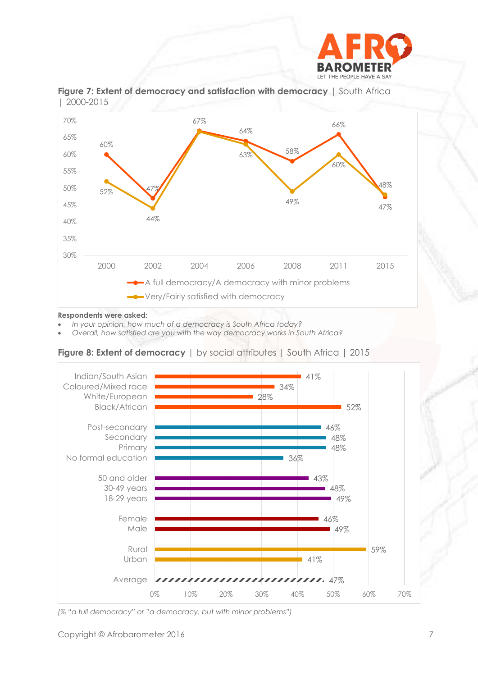



**Figure 7: Extent of democracy and satisfaction with democracy** | South Africa | 2000-2015

#### **Respondents were asked:**

- *In your opinion, how much of a democracy is South Africa today?*
- *Overall, how satisfied are you with the way democracy works in South Africa?*

**Figure 8: Extent of democracy** | by social attributes | South Africa | 2015



*(% "a full democracy" or "a democracy, but with minor problems")*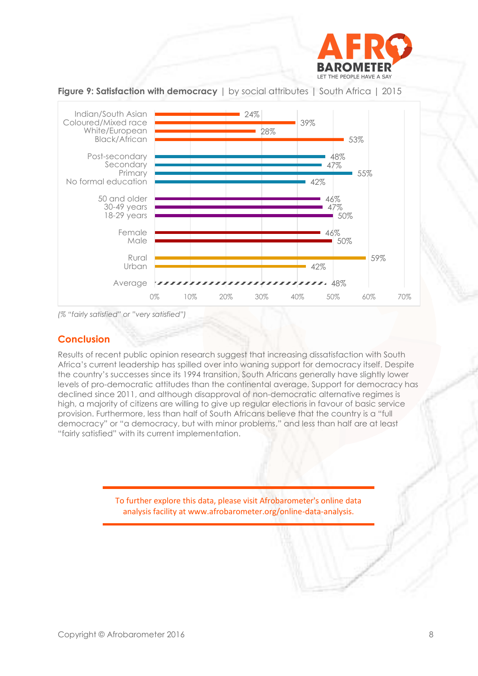



**Figure 9: Satisfaction with democracy** | by social attributes | South Africa | 2015

*(% "fairly satisfied" or "very satisfied")*

#### **Conclusion**

Results of recent public opinion research suggest that increasing dissatisfaction with South Africa's current leadership has spilled over into waning support for democracy itself. Despite the country's successes since its 1994 transition, South Africans generally have slightly lower levels of pro-democratic attitudes than the continental average. Support for democracy has declined since 2011, and although disapproval of non-democratic alternative regimes is high, a majority of citizens are willing to give up regular elections in favour of basic service provision. Furthermore, less than half of South Africans believe that the country is a "full democracy" or "a democracy, but with minor problems," and less than half are at least "fairly satisfied" with its current implementation.

> To further explore this data, please visit Afrobarometer's online data analysis facility at www.afrobarometer.org/online-data-analysis.